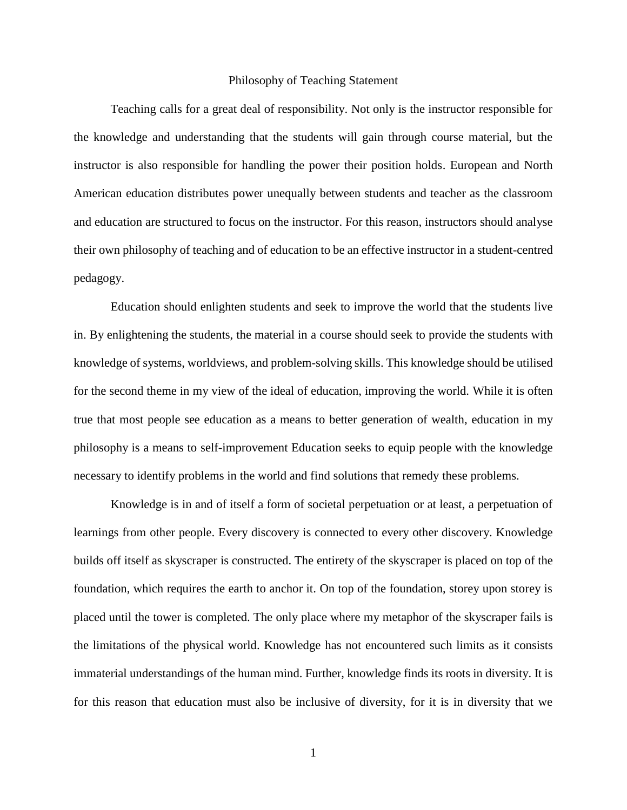## Philosophy of Teaching Statement

Teaching calls for a great deal of responsibility. Not only is the instructor responsible for the knowledge and understanding that the students will gain through course material, but the instructor is also responsible for handling the power their position holds. European and North American education distributes power unequally between students and teacher as the classroom and education are structured to focus on the instructor. For this reason, instructors should analyse their own philosophy of teaching and of education to be an effective instructor in a student-centred pedagogy.

Education should enlighten students and seek to improve the world that the students live in. By enlightening the students, the material in a course should seek to provide the students with knowledge of systems, worldviews, and problem-solving skills. This knowledge should be utilised for the second theme in my view of the ideal of education, improving the world. While it is often true that most people see education as a means to better generation of wealth, education in my philosophy is a means to self-improvement Education seeks to equip people with the knowledge necessary to identify problems in the world and find solutions that remedy these problems.

Knowledge is in and of itself a form of societal perpetuation or at least, a perpetuation of learnings from other people. Every discovery is connected to every other discovery. Knowledge builds off itself as skyscraper is constructed. The entirety of the skyscraper is placed on top of the foundation, which requires the earth to anchor it. On top of the foundation, storey upon storey is placed until the tower is completed. The only place where my metaphor of the skyscraper fails is the limitations of the physical world. Knowledge has not encountered such limits as it consists immaterial understandings of the human mind. Further, knowledge finds its roots in diversity. It is for this reason that education must also be inclusive of diversity, for it is in diversity that we